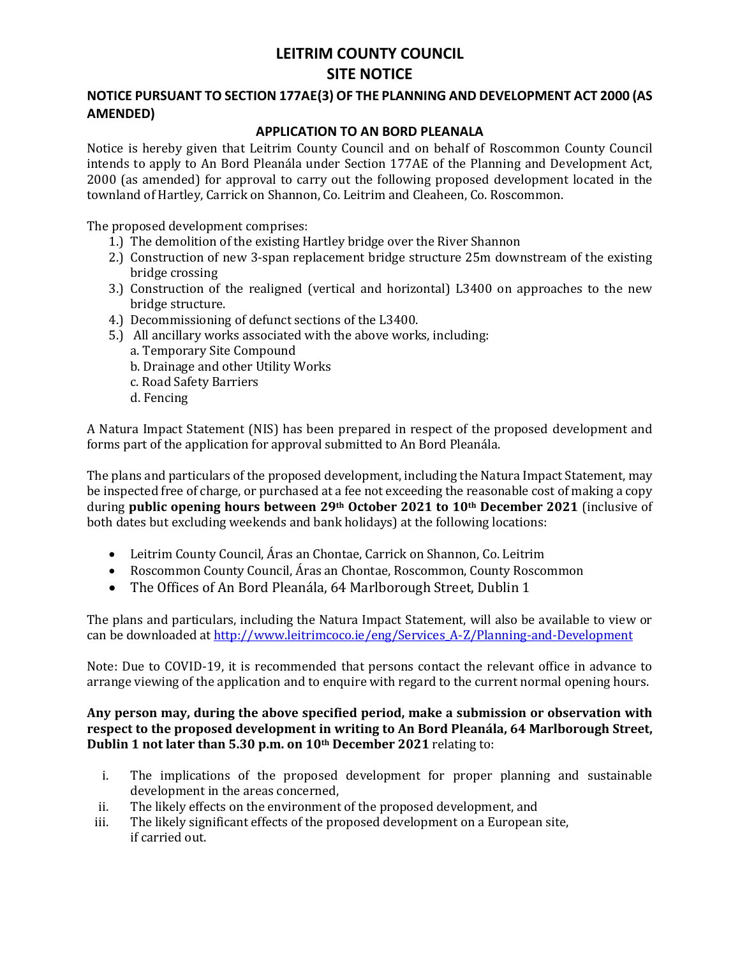# **LEITRIM COUNTY COUNCIL SITE NOTICE**

### **NOTICE PURSUANT TO SECTION 177AE(3) OF THE PLANNING AND DEVELOPMENT ACT 2000 (AS AMENDED)**

#### **APPLICATION TO AN BORD PLEANALA**

Notice is hereby given that Leitrim County Council and on behalf of Roscommon County Council intends to apply to An Bord Pleanála under Section 177AE of the Planning and Development Act, 2000 (as amended) for approval to carry out the following proposed development located in the townland of Hartley, Carrick on Shannon, Co. Leitrim and Cleaheen, Co. Roscommon.

The proposed development comprises:

- 1.) The demolition of the existing Hartley bridge over the River Shannon
- 2.) Construction of new 3-span replacement bridge structure 25m downstream of the existing bridge crossing
- 3.) Construction of the realigned (vertical and horizontal) L3400 on approaches to the new bridge structure.
- 4.) Decommissioning of defunct sections of the L3400.
- 5.) All ancillary works associated with the above works, including: a. Temporary Site Compound
	- b. Drainage and other Utility Works
	- c. Road Safety Barriers
	- d. Fencing

A Natura Impact Statement (NIS) has been prepared in respect of the proposed development and forms part of the application for approval submitted to An Bord Pleanála.

The plans and particulars of the proposed development, including the Natura Impact Statement, may be inspected free of charge, or purchased at a fee not exceeding the reasonable cost of making a copy during **public opening hours between 29th October 2021 to 10th December 2021** (inclusive of both dates but excluding weekends and bank holidays) at the following locations:

- Leitrim County Council, Áras an Chontae, Carrick on Shannon, Co. Leitrim
- Roscommon County Council, Áras an Chontae, Roscommon, County Roscommon
- The Offices of An Bord Pleanála, 64 Marlborough Street, Dublin 1

The plans and particulars, including the Natura Impact Statement, will also be available to view or can be downloaded at [http://www.leitrimcoco.ie/eng/Services\\_A-Z/Planning-and-Development](http://www.leitrimcoco.ie/eng/Services_A-Z/Planning-and-Development)

Note: Due to COVID-19, it is recommended that persons contact the relevant office in advance to arrange viewing of the application and to enquire with regard to the current normal opening hours.

#### **Any person may, during the above specified period, make a submission or observation with respect to the proposed development in writing to An Bord Pleanála, 64 Marlborough Street, Dublin 1 not later than 5.30 p.m. on 10th December 2021** relating to:

- i. The implications of the proposed development for proper planning and sustainable development in the areas concerned,
- ii. The likely effects on the environment of the proposed development, and
- iii. The likely significant effects of the proposed development on a European site, if carried out.